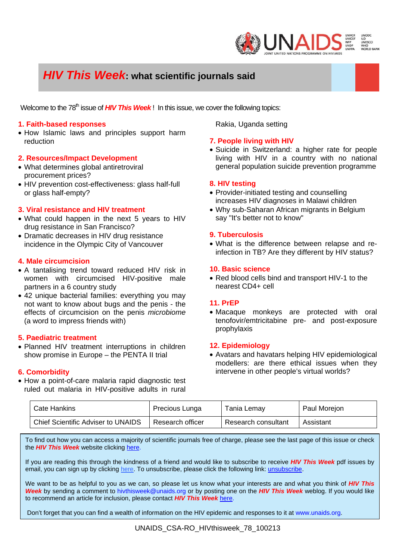

# *HIV This Week***: what scientific journals said**

Welcome to the 78<sup>th</sup> issue of **HIV This Week**! In this issue, we cover the following topics:

#### **1. Faith-based responses**

• How Islamic laws and principles support harm reduction

#### **2. Resources/Impact Development**

- What determines global antiretroviral procurement prices?
- HIV prevention cost-effectiveness: glass half-full or glass half-empty?

#### **3. Viral resistance and HIV treatment**

- What could happen in the next 5 years to HIV drug resistance in San Francisco?
- Dramatic decreases in HIV drug resistance incidence in the Olympic City of Vancouver

#### **4. Male circumcision**

- A tantalising trend toward reduced HIV risk in women with circumcised HIV-positive male partners in a 6 country study
- 42 unique bacterial families: everything you may not want to know about bugs and the penis - the effects of circumcision on the penis *microbiome* (a word to impress friends with)

#### **5. Paediatric treatment**

• Planned HIV treatment interruptions in children show promise in Europe – the PENTA II trial

# **6. Comorbidity**

• How a point-of-care malaria rapid diagnostic test ruled out malaria in HIV-positive adults in rural

Rakia, Uganda setting

#### **7. People living with HIV**

• Suicide in Switzerland: a higher rate for people living with HIV in a country with no national general population suicide prevention programme

#### **8. HIV testing**

- Provider-initiated testing and counselling increases HIV diagnoses in Malawi children
- Why sub-Saharan African migrants in Belgium say "It's better not to know"

#### **9. Tuberculosis**

• What is the difference between relapse and reinfection in TB? Are they different by HIV status?

#### **10. Basic science**

• Red blood cells bind and transport HIV-1 to the nearest CD4+ cell

# **11. PrEP**

• Macaque monkeys are protected with oral tenofovir/emtricitabine pre- and post-exposure prophylaxis

#### **12. Epidemiology**

• Avatars and havatars helping HIV epidemiological modellers: are there ethical issues when they intervene in other people's virtual worlds?

| Cate Hankins                              | Precious Lunga   | Tania Lemay         | Paul Morejon |
|-------------------------------------------|------------------|---------------------|--------------|
| <b>Chief Scientific Adviser to UNAIDS</b> | Research officer | Research consultant | Assistant    |

To find out how you can access a majority of scientific journals free of charge, please see the last page of this issue or check the *HIV This Week* website clicking here.

If you are reading this through the kindness of a friend and would like to subscribe to receive *HIV This Week* pdf issues by email, you can sign up by clicking here. To unsubscribe, please click the following link: unsubscribe.

We want to be as helpful to you as we can, so please let us know what your interests are and what you think of *HIV This Week* by sending a comment to hivthisweek@unaids.org or by posting one on the *HIV This Week* weblog. If you would like to recommend an article for inclusion, please contact *HIV This Week* here.

Don't forget that you can find a wealth of information on the HIV epidemic and responses to it at www.unaids.org.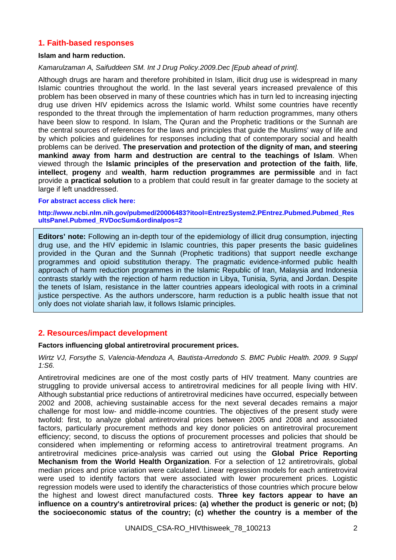# **1. Faith-based responses**

#### **Islam and harm reduction.**

#### *Kamarulzaman A, Saifuddeen SM. Int J Drug Policy.2009.Dec [Epub ahead of print].*

Although drugs are haram and therefore prohibited in Islam, illicit drug use is widespread in many Islamic countries throughout the world. In the last several years increased prevalence of this problem has been observed in many of these countries which has in turn led to increasing injecting drug use driven HIV epidemics across the Islamic world. Whilst some countries have recently responded to the threat through the implementation of harm reduction programmes, many others have been slow to respond. In Islam, The Quran and the Prophetic traditions or the Sunnah are the central sources of references for the laws and principles that guide the Muslims' way of life and by which policies and guidelines for responses including that of contemporary social and health problems can be derived. **The preservation and protection of the dignity of man, and steering mankind away from harm and destruction are central to the teachings of Islam**. When viewed through the **Islamic principles of the preservation and protection of the faith**, **life**, **intellect**, **progeny** and **wealth**, **harm reduction programmes are permissible** and in fact provide a **practical solution** to a problem that could result in far greater damage to the society at large if left unaddressed.

#### **For abstract access click here:**

**http://www.ncbi.nlm.nih.gov/pubmed/20006483?itool=EntrezSystem2.PEntrez.Pubmed.Pubmed\_Res ultsPanel.Pubmed\_RVDocSum&ordinalpos=2** 

**Editors' note:** Following an in-depth tour of the epidemiology of illicit drug consumption, injecting drug use, and the HIV epidemic in Islamic countries, this paper presents the basic guidelines provided in the Quran and the Sunnah (Prophetic traditions) that support needle exchange programmes and opioid substitution therapy. The pragmatic evidence-informed public health approach of harm reduction programmes in the Islamic Republic of Iran, Malaysia and Indonesia contrasts starkly with the rejection of harm reduction in Libya, Tunisia, Syria, and Jordan. Despite the tenets of Islam, resistance in the latter countries appears ideological with roots in a criminal justice perspective. As the authors underscore, harm reduction is a public health issue that not only does not violate shariah law, it follows Islamic principles.

# **2. Resources/impact development**

#### **Factors influencing global antiretroviral procurement prices.**

*Wirtz VJ, Forsythe S, Valencia-Mendoza A, Bautista-Arredondo S. BMC Public Health. 2009. 9 Suppl 1:S6.* 

Antiretroviral medicines are one of the most costly parts of HIV treatment. Many countries are struggling to provide universal access to antiretroviral medicines for all people living with HIV. Although substantial price reductions of antiretroviral medicines have occurred, especially between 2002 and 2008, achieving sustainable access for the next several decades remains a major challenge for most low- and middle-income countries. The objectives of the present study were twofold: first, to analyze global antiretroviral prices between 2005 and 2008 and associated factors, particularly procurement methods and key donor policies on antiretroviral procurement efficiency; second, to discuss the options of procurement processes and policies that should be considered when implementing or reforming access to antiretroviral treatment programs. An antiretroviral medicines price-analysis was carried out using the **Global Price Reporting Mechanism from the World Health Organization**. For a selection of 12 antiretrovirals, global median prices and price variation were calculated. Linear regression models for each antiretroviral were used to identify factors that were associated with lower procurement prices. Logistic regression models were used to identify the characteristics of those countries which procure below the highest and lowest direct manufactured costs. **Three key factors appear to have an influence on a country's antiretroviral prices: (a) whether the product is generic or not; (b) the socioeconomic status of the country; (c) whether the country is a member of the**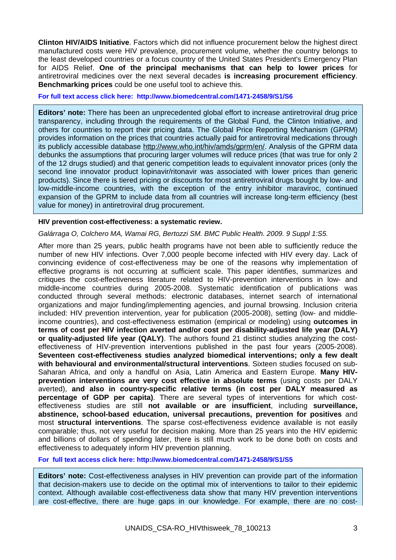**Clinton HIV/AIDS Initiative**. Factors which did not influence procurement below the highest direct manufactured costs were HIV prevalence, procurement volume, whether the country belongs to the least developed countries or a focus country of the United States President's Emergency Plan for AIDS Relief. **One of the principal mechanisms that can help to lower prices** for antiretroviral medicines over the next several decades **is increasing procurement efficiency**. **Benchmarking prices** could be one useful tool to achieve this.

**For full text access click here: http://www.biomedcentral.com/1471-2458/9/S1/S6** 

**Editors' note:** There has been an unprecedented global effort to increase antiretroviral drug price transparency, including through the requirements of the Global Fund, the Clinton Initiative, and others for countries to report their pricing data. The Global Price Reporting Mechanism (GPRM) provides information on the prices that countries actually paid for antiretroviral medications through its publicly accessible database http://www.who.int/hiv/amds/gprm/en/. Analysis of the GPRM data debunks the assumptions that procuring larger volumes will reduce prices (that was true for only 2 of the 12 drugs studied) and that generic competition leads to equivalent innovator prices (only the second line innovator product lopinavir/ritonavir was associated with lower prices than generic products). Since there is tiered pricing or discounts for most antiretroviral drugs bought by low- and low-middle-income countries, with the exception of the entry inhibitor maraviroc, continued expansion of the GPRM to include data from all countries will increase long-term efficiency (best value for money) in antiretroviral drug procurement.

#### **HIV prevention cost-effectiveness: a systematic review.**

*Galárraga O, Colchero MA, Wamai RG, Bertozzi SM. BMC Public Health. 2009. 9 Suppl 1:S5.* 

After more than 25 years, public health programs have not been able to sufficiently reduce the number of new HIV infections. Over 7,000 people become infected with HIV every day. Lack of convincing evidence of cost-effectiveness may be one of the reasons why implementation of effective programs is not occurring at sufficient scale. This paper identifies, summarizes and critiques the cost-effectiveness literature related to HIV-prevention interventions in low- and middle-income countries during 2005-2008. Systematic identification of publications was conducted through several methods: electronic databases, internet search of international organizations and major funding/implementing agencies, and journal browsing. Inclusion criteria included: HIV prevention intervention, year for publication (2005-2008), setting (low- and middleincome countries), and cost-effectiveness estimation (empirical or modeling) using **outcomes in terms of cost per HIV infection averted and/or cost per disability-adjusted life year (DALY) or quality-adjusted life year (QALY)**. The authors found 21 distinct studies analyzing the costeffectiveness of HIV-prevention interventions published in the past four years (2005-2008). **Seventeen cost-effectiveness studies analyzed biomedical interventions; only a few dealt with behavioural and environmental/structural interventions**. Sixteen studies focused on sub-Saharan Africa, and only a handful on Asia, Latin America and Eastern Europe. **Many HIVprevention interventions are very cost effective in absolute terms** (using costs per DALY averted), **and also in country-specific relative terms (in cost per DALY measured as percentage of GDP per capita)**. There are several types of interventions for which costeffectiveness studies are still **not available or are insufficient**, including **surveillance, abstinence, school-based education, universal precautions, prevention for positives** and most **structural interventions**. The sparse cost-effectiveness evidence available is not easily comparable; thus, not very useful for decision making. More than 25 years into the HIV epidemic and billions of dollars of spending later, there is still much work to be done both on costs and effectiveness to adequately inform HIV prevention planning.

**For full text access click here: http://www.biomedcentral.com/1471-2458/9/S1/S5** 

**Editors' note:** Cost-effectiveness analyses in HIV prevention can provide part of the information that decision-makers use to decide on the optimal mix of interventions to tailor to their epidemic context. Although available cost-effectiveness data show that many HIV prevention interventions are cost-effective, there are huge gaps in our knowledge. For example, there are no cost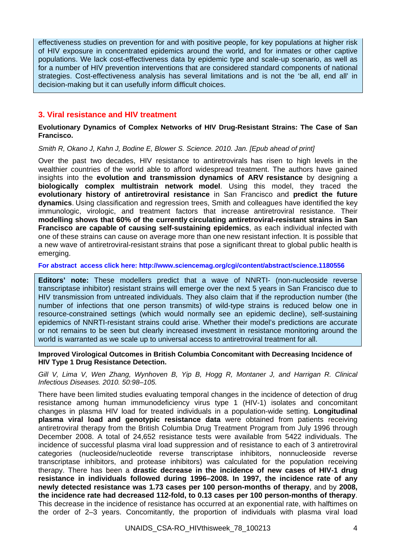effectiveness studies on prevention for and with positive people, for key populations at higher risk of HIV exposure in concentrated epidemics around the world, and for inmates or other captive populations. We lack cost-effectiveness data by epidemic type and scale-up scenario, as well as for a number of HIV prevention interventions that are considered standard components of national strategies. Cost-effectiveness analysis has several limitations and is not the 'be all, end all' in decision-making but it can usefully inform difficult choices.

# **3. Viral resistance and HIV treatment**

#### **Evolutionary Dynamics of Complex Networks of HIV Drug-Resistant Strains: The Case of San Francisco.**

*Smith R, Okano J, Kahn J, Bodine E, Blower S. Science. 2010. Jan. [Epub ahead of print]* 

Over the past two decades, HIV resistance to antiretrovirals has risen to high levels in the wealthier countries of the world able to afford widespread treatment. The authors have gained insights into the **evolution and transmission dynamics of ARV resistance** by designing a **biologically complex multistrain network model**. Using this model, they traced the **evolutionary history of antiretroviral resistance** in San Francisco and **predict the future dynamics**. Using classification and regression trees, Smith and colleagues have identified the key immunologic, virologic, and treatment factors that increase antiretroviral resistance. Their **modelling shows that 60% of the currently circulating antiretroviral-resistant strains in San Francisco are capable of causing self-sustaining epidemics**, as each individual infected with one of these strains can cause on average more than one new resistant infection. It is possible that a new wave of antiretroviral-resistant strains that pose a significant threat to global public health is emerging.

**For abstract access click here: http://www.sciencemag.org/cgi/content/abstract/science.1180556**

**Editors' note:** These modellers predict that a wave of NNRTI- (non-nucleoside reverse transcriptase inhibitor) resistant strains will emerge over the next 5 years in San Francisco due to HIV transmission from untreated individuals. They also claim that if the reproduction number (the number of infections that one person transmits) of wild-type strains is reduced below one in resource-constrained settings (which would normally see an epidemic decline), self-sustaining epidemics of NNRTI-resistant strains could arise. Whether their model's predictions are accurate or not remains to be seen but clearly increased investment in resistance monitoring around the world is warranted as we scale up to universal access to antiretroviral treatment for all.

#### **Improved Virological Outcomes in British Columbia Concomitant with Decreasing Incidence of HIV Type 1 Drug Resistance Detection.**

*Gill V, Lima V, Wen Zhang, Wynhoven B, Yip B, Hogg R, Montaner J, and Harrigan R. Clinical Infectious Diseases. 2010. 50:98–105.* 

There have been limited studies evaluating temporal changes in the incidence of detection of drug resistance among human immunodeficiency virus type 1 (HIV-1) isolates and concomitant changes in plasma HIV load for treated individuals in a population-wide setting. **Longitudinal plasma viral load and genotypic resistance data** were obtained from patients receiving antiretroviral therapy from the British Columbia Drug Treatment Program from July 1996 through December 2008. A total of 24,652 resistance tests were available from 5422 individuals. The incidence of successful plasma viral load suppression and of resistance to each of 3 antiretroviral categories (nucleoside/nucleotide reverse transcriptase inhibitors, nonnucleoside reverse transcriptase inhibitors, and protease inhibitors) was calculated for the population receiving therapy. There has been a **drastic decrease in the incidence of new cases of HIV-1 drug resistance in individuals followed during 1996–2008. In 1997, the incidence rate of any newly detected resistance was 1.73 cases per 100 person-months of therapy**, and by **2008, the incidence rate had decreased 112-fold, to 0.13 cases per 100 person-months of therapy**. This decrease in the incidence of resistance has occurred at an exponential rate, with halftimes on the order of 2–3 years. Concomitantly, the proportion of individuals with plasma viral load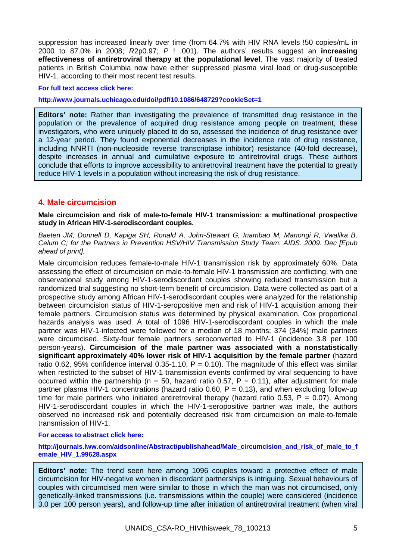suppression has increased linearly over time (from 64.7% with HIV RNA levels !50 copies/mL in 2000 to 87.0% in 2008; *R*2p0.97; *P* ! .001). The authors' results suggest an **increasing effectiveness of antiretroviral therapy at the populational level**. The vast majority of treated patients in British Columbia now have either suppressed plasma viral load or drug-susceptible HIV-1, according to their most recent test results.

#### **For full text access click here:**

**http://www.journals.uchicago.edu/doi/pdf/10.1086/648729?cookieSet=1**

**Editors' note:** Rather than investigating the prevalence of transmitted drug resistance in the population or the prevalence of acquired drug resistance among people on treatment, these investigators, who were uniquely placed to do so, assessed the incidence of drug resistance over a 12-year period. They found exponential decreases in the incidence rate of drug resistance, including NNRTI (non-nucleoside reverse transcriptase inhibitor) resistance (40-fold decrease), despite increases in annual and cumulative exposure to antiretroviral drugs. These authors conclude that efforts to improve accessibility to antiretroviral treatment have the potential to greatly reduce HIV-1 levels in a population without increasing the risk of drug resistance.

# **4. Male circumcision**

**Male circumcision and risk of male-to-female HIV-1 transmission: a multinational prospective study in African HIV-1-serodiscordant couples.** 

*Baeten JM, Donnell D, Kapiga SH, Ronald A, John-Stewart G, Inambao M, Manongi R, Vwalika B, Celum C; for the Partners in Prevention HSV/HIV Transmission Study Team. AIDS. 2009. Dec [Epub ahead of print].* 

Male circumcision reduces female-to-male HIV-1 transmission risk by approximately 60%. Data assessing the effect of circumcision on male-to-female HIV-1 transmission are conflicting, with one observational study among HIV-1-serodiscordant couples showing reduced transmission but a randomized trial suggesting no short-term benefit of circumcision. Data were collected as part of a prospective study among African HIV-1-serodiscordant couples were analyzed for the relationship between circumcision status of HIV-1-seropositive men and risk of HIV-1 acquisition among their female partners. Circumcision status was determined by physical examination. Cox proportional hazards analysis was used. A total of 1096 HIV-1-serodiscordant couples in which the male partner was HIV-1-infected were followed for a median of 18 months; 374 (34%) male partners were circumcised. Sixty-four female partners seroconverted to HIV-1 (incidence 3.8 per 100 person-years). **Circumcision of the male partner was associated with a nonstatistically significant approximately 40% lower risk of HIV-1 acquisition by the female partner** (hazard ratio 0.62, 95% confidence interval 0.35-1.10,  $P = 0.10$ ). The magnitude of this effect was similar when restricted to the subset of HIV-1 transmission events confirmed by viral sequencing to have occurred within the partnership ( $n = 50$ , hazard ratio 0.57, P = 0.11), after adjustment for male partner plasma HIV-1 concentrations (hazard ratio 0.60,  $P = 0.13$ ), and when excluding follow-up time for male partners who initiated antiretroviral therapy (hazard ratio 0.53,  $P = 0.07$ ). Among HIV-1-serodiscordant couples in which the HIV-1-seropositive partner was male, the authors observed no increased risk and potentially decreased risk from circumcision on male-to-female transmission of HIV-1.

#### **For access to abstract click here:**

**http://journals.lww.com/aidsonline/Abstract/publishahead/Male\_circumcision\_and\_risk\_of\_male\_to\_f emale\_HIV\_1.99628.aspx** 

**Editors' note:** The trend seen here among 1096 couples toward a protective effect of male circumcision for HIV-negative women in discordant partnerships is intriguing. Sexual behaviours of couples with circumcised men were similar to those in which the man was not circumcised, only genetically-linked transmissions (i.e. transmissions within the couple) were considered (incidence 3.0 per 100 person years), and follow-up time after initiation of antiretroviral treatment (when viral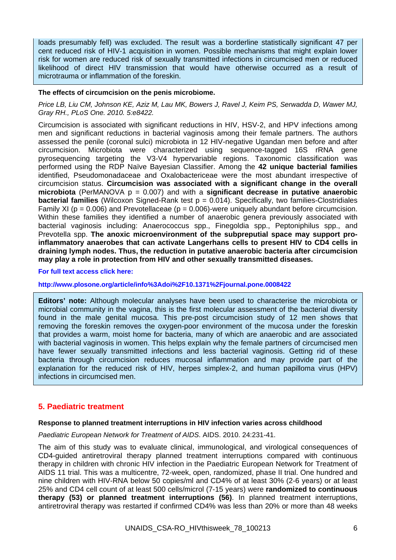loads presumably fell) was excluded. The result was a borderline statistically significant 47 per cent reduced risk of HIV-1 acquisition in women. Possible mechanisms that might explain lower risk for women are reduced risk of sexually transmitted infections in circumcised men or reduced likelihood of direct HIV transmission that would have otherwise occurred as a result of microtrauma or inflammation of the foreskin.

#### **The effects of circumcision on the penis microbiome.**

*Price LB, Liu CM, Johnson KE, Aziz M, Lau MK, Bowers J, Ravel J, Keim PS, Serwadda D, Wawer MJ, Gray RH., PLoS One. 2010. 5:e8422.* 

Circumcision is associated with significant reductions in HIV, HSV-2, and HPV infections among men and significant reductions in bacterial vaginosis among their female partners. The authors assessed the penile (coronal sulci) microbiota in 12 HIV-negative Ugandan men before and after circumcision. Microbiota were characterized using sequence-tagged 16S rRNA gene pyrosequencing targeting the V3-V4 hypervariable regions. Taxonomic classification was performed using the RDP Naïve Bayesian Classifier. Among the **42 unique bacterial families** identified, Pseudomonadaceae and Oxalobactericeae were the most abundant irrespective of circumcision status. **Circumcision was associated with a significant change in the overall microbiota** (PerMANOVA p = 0.007) and with a **significant decrease in putative anaerobic bacterial families** (Wilcoxon Signed-Rank test p = 0.014). Specifically, two families-Clostridiales Family XI ( $p = 0.006$ ) and Prevotellaceae ( $p = 0.006$ )-were uniquely abundant before circumcision. Within these families they identified a number of anaerobic genera previously associated with bacterial vaginosis including: Anaerococcus spp., Finegoldia spp., Peptoniphilus spp., and Prevotella spp. **The anoxic microenvironment of the subpreputial space may support proinflammatory anaerobes that can activate Langerhans cells to present HIV to CD4 cells in draining lymph nodes. Thus, the reduction in putative anaerobic bacteria after circumcision may play a role in protection from HIV and other sexually transmitted diseases.** 

**For full text access click here:** 

**http://www.plosone.org/article/info%3Adoi%2F10.1371%2Fjournal.pone.0008422** 

**Editors' note:** Although molecular analyses have been used to characterise the microbiota or microbial community in the vagina, this is the first molecular assessment of the bacterial diversity found in the male genital mucosa. This pre-post circumcision study of 12 men shows that removing the foreskin removes the oxygen-poor environment of the mucosa under the foreskin that provides a warm, moist home for bacteria, many of which are anaerobic and are associated with bacterial vaginosis in women. This helps explain why the female partners of circumcised men have fewer sexually transmitted infections and less bacterial vaginosis. Getting rid of these bacteria through circumcision reduces mucosal inflammation and may provide part of the explanation for the reduced risk of HIV, herpes simplex-2, and human papilloma virus (HPV) infections in circumcised men.

# **5. Paediatric treatment**

#### **Response to planned treatment interruptions in HIV infection varies across childhood**

*Paediatric European Network for Treatment of AIDS*. AIDS. 2010. 24:231-41.

The aim of this study was to evaluate clinical, immunological, and virological consequences of CD4-guided antiretroviral therapy planned treatment interruptions compared with continuous therapy in children with chronic HIV infection in the Paediatric European Network for Treatment of AIDS 11 trial. This was a multicentre, 72-week, open, randomized, phase II trial. One hundred and nine children with HIV-RNA below 50 copies/ml and CD4% of at least 30% (2-6 years) or at least 25% and CD4 cell count of at least 500 cells/microl (7-15 years) were **randomized to continuous therapy (53) or planned treatment interruptions (56)**. In planned treatment interruptions, antiretroviral therapy was restarted if confirmed CD4% was less than 20% or more than 48 weeks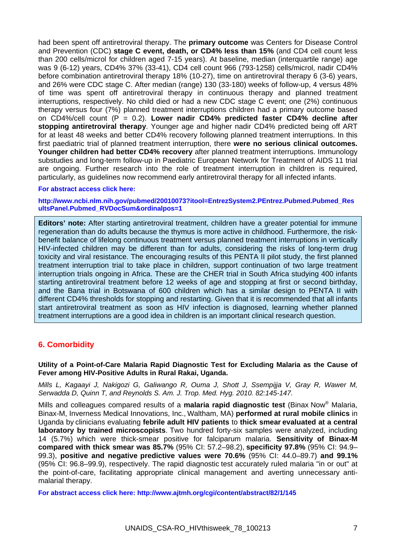had been spent off antiretroviral therapy. The **primary outcome** was Centers for Disease Control and Prevention (CDC) **stage C event, death, or CD4% less than 15%** (and CD4 cell count less than 200 cells/microl for children aged 7-15 years). At baseline, median (interquartile range) age was 9 (6-12) years, CD4% 37% (33-41), CD4 cell count 966 (793-1258) cells/microl, nadir CD4% before combination antiretroviral therapy 18% (10-27), time on antiretroviral therapy 6 (3-6) years, and 26% were CDC stage C. After median (range) 130 (33-180) weeks of follow-up, 4 versus 48% of time was spent off antiretroviral therapy in continuous therapy and planned treatment interruptions, respectively. No child died or had a new CDC stage C event; one (2%) continuous therapy versus four (7%) planned treatment interruptions children had a primary outcome based on CD4%/cell count (P = 0.2). **Lower nadir CD4% predicted faster CD4% decline after stopping antiretroviral therapy**. Younger age and higher nadir CD4% predicted being off ART for at least 48 weeks and better CD4% recovery following planned treatment interruptions. In this first paediatric trial of planned treatment interruption, there **were no serious clinical outcomes. Younger children had better CD4% recovery** after planned treatment interruptions. Immunology substudies and long-term follow-up in Paediatric European Network for Treatment of AIDS 11 trial are ongoing. Further research into the role of treatment interruption in children is required, particularly, as guidelines now recommend early antiretroviral therapy for all infected infants.

#### **For abstract access click here:**

**http://www.ncbi.nlm.nih.gov/pubmed/20010073?itool=EntrezSystem2.PEntrez.Pubmed.Pubmed\_Res ultsPanel.Pubmed\_RVDocSum&ordinalpos=1** 

**Editors' note:** After starting antiretroviral treatment, children have a greater potential for immune regeneration than do adults because the thymus is more active in childhood. Furthermore, the riskbenefit balance of lifelong continuous treatment versus planned treatment interruptions in vertically HIV-infected children may be different than for adults, considering the risks of long-term drug toxicity and viral resistance. The encouraging results of this PENTA II pilot study, the first planned treatment interruption trial to take place in children, support continuation of two large treatment interruption trials ongoing in Africa. These are the CHER trial in South Africa studying 400 infants starting antiretroviral treatment before 12 weeks of age and stopping at first or second birthday, and the Bana trial in Botswana of 600 children which has a similar design to PENTA II with different CD4% thresholds for stopping and restarting. Given that it is recommended that all infants start antiretroviral treatment as soon as HIV infection is diagnosed, learning whether planned treatment interruptions are a good idea in children is an important clinical research question.

# **6. Comorbidity**

**Utility of a Point-of-Care Malaria Rapid Diagnostic Test for Excluding Malaria as the Cause of Fever among HIV-Positive Adults in Rural Rakai, Uganda.** 

*Mills L, Kagaayi J, Nakigozi G, Galiwango R, Ouma J, Shott J, Ssempijja V, Gray R, Wawer M, Serwadda D, Quinn T, and Reynolds S. Am. J. Trop. Med. Hyg. 2010. 82:145-147.* 

Mills and colleagues compared results of a **malaria rapid diagnostic test** (Binax Now® Malaria, Binax-M, Inverness Medical Innovations, Inc., Waltham, MA) **performed at rural mobile clinics** in Uganda by clinicians evaluating **febrile adult HIV patients** to **thick smear evaluated at a central laboratory by trained microscopists**. Two hundred forty-six samples were analyzed, including 14 (5.7%) which were thick-smear positive for falciparum malaria. **Sensitivity of Binax-M compared with thick smear was 85.7%** (95% CI: 57.2–98.2), **specificity 97.8%** (95% CI: 94.9– 99.3), **positive and negative predictive values were 70.6%** (95% CI: 44.0–89.7) **and 99.1%** (95% CI: 96.8–99.9), respectively. The rapid diagnostic test accurately ruled malaria "in or out" at the point-of-care, facilitating appropriate clinical management and averting unnecessary antimalarial therapy.

**For abstract access click here: http://www.ajtmh.org/cgi/content/abstract/82/1/145**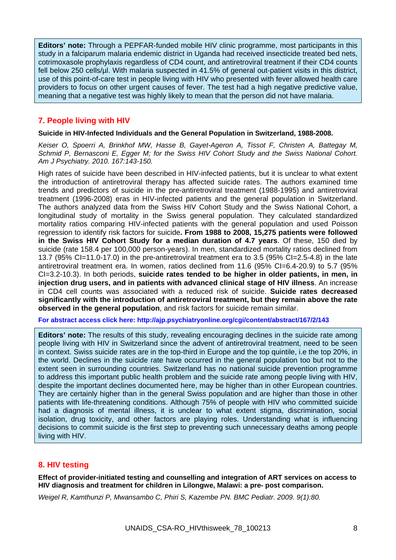**Editors' note:** Through a PEPFAR-funded mobile HIV clinic programme, most participants in this study in a falciparum malaria endemic district in Uganda had received insecticide treated bed nets, cotrimoxasole prophylaxis regardless of CD4 count, and antiretroviral treatment if their CD4 counts fell below 250 cells/ul. With malaria suspected in 41.5% of general out-patient visits in this district, use of this point-of-care test in people living with HIV who presented with fever allowed health care providers to focus on other urgent causes of fever. The test had a high negative predictive value, meaning that a negative test was highly likely to mean that the person did not have malaria.

# **7. People living with HIV**

#### **Suicide in HIV-Infected Individuals and the General Population in Switzerland, 1988-2008.**

*Keiser O, Spoerri A, Brinkhof MW, Hasse B, Gayet-Ageron A, Tissot F, Christen A, Battegay M, Schmid P, Bernasconi E, Egger M; for the Swiss HIV Cohort Study and the Swiss National Cohort. Am J Psychiatry. 2010. 167:143-150.* 

High rates of suicide have been described in HIV-infected patients, but it is unclear to what extent the introduction of antiretroviral therapy has affected suicide rates. The authors examined time trends and predictors of suicide in the pre-antiretroviral treatment (1988-1995) and antiretroviral treatment (1996-2008) eras in HIV-infected patients and the general population in Switzerland. The authors analyzed data from the Swiss HIV Cohort Study and the Swiss National Cohort, a longitudinal study of mortality in the Swiss general population. They calculated standardized mortality ratios comparing HIV-infected patients with the general population and used Poisson regression to identify risk factors for suicide**. From 1988 to 2008, 15,275 patients were followed in the Swiss HIV Cohort Study for a median duration of 4.7 years**. Of these, 150 died by suicide (rate 158.4 per 100,000 person-years). In men, standardized mortality ratios declined from 13.7 (95% CI=11.0-17.0) in the pre-antiretroviral treatment era to 3.5 (95% CI=2.5-4.8) in the late antiretroviral treatment era. In women, ratios declined from 11.6 (95% CI=6.4-20.9) to 5.7 (95% CI=3.2-10.3). In both periods, **suicide rates tended to be higher in older patients, in men, in injection drug users, and in patients with advanced clinical stage of HIV illness**. An increase in CD4 cell counts was associated with a reduced risk of suicide. **Suicide rates decreased significantly with the introduction of antiretroviral treatment, but they remain above the rate observed in the general population**, and risk factors for suicide remain similar.

**For abstract access click here: http://ajp.psychiatryonline.org/cgi/content/abstract/167/2/143** 

**Editors' note:** The results of this study, revealing encouraging declines in the suicide rate among people living with HIV in Switzerland since the advent of antiretroviral treatment, need to be seen in context. Swiss suicide rates are in the top-third in Europe and the top quintile, i.e the top 20%, in the world. Declines in the suicide rate have occurred in the general population too but not to the extent seen in surrounding countries. Switzerland has no national suicide prevention programme to address this important public health problem and the suicide rate among people living with HIV, despite the important declines documented here, may be higher than in other European countries. They are certainly higher than in the general Swiss population and are higher than those in other patients with life-threatening conditions. Although 75% of people with HIV who committed suicide had a diagnosis of mental illness, it is unclear to what extent stigma, discrimination, social isolation, drug toxicity, and other factors are playing roles. Understanding what is influencing decisions to commit suicide is the first step to preventing such unnecessary deaths among people living with HIV.

# **8. HIV testing**

**Effect of provider-initiated testing and counselling and integration of ART services on access to HIV diagnosis and treatment for children in Lilongwe, Malawi: a pre- post comparison.** 

*Weigel R, Kamthunzi P, Mwansambo C, Phiri S, Kazembe PN. BMC Pediatr. 2009. 9(1):80.*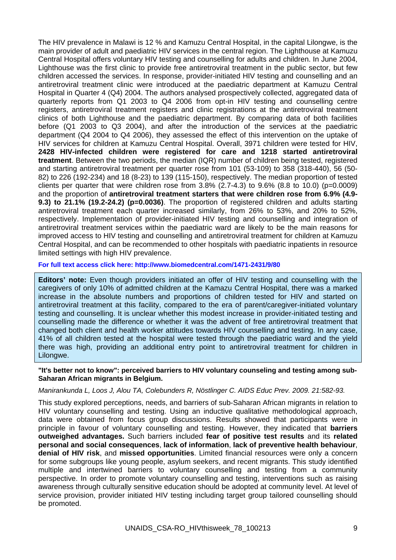The HIV prevalence in Malawi is 12 % and Kamuzu Central Hospital, in the capital Lilongwe, is the main provider of adult and paediatric HIV services in the central region. The Lighthouse at Kamuzu Central Hospital offers voluntary HIV testing and counselling for adults and children. In June 2004, Lighthouse was the first clinic to provide free antiretroviral treatment in the public sector, but few children accessed the services. In response, provider-initiated HIV testing and counselling and an antiretroviral treatment clinic were introduced at the paediatric department at Kamuzu Central Hospital in Quarter 4 (Q4) 2004. The authors analysed prospectively collected, aggregated data of quarterly reports from Q1 2003 to Q4 2006 from opt-in HIV testing and counselling centre registers, antiretroviral treatment registers and clinic registrations at the antiretroviral treatment clinics of both Lighthouse and the paediatric department. By comparing data of both facilities before (Q1 2003 to Q3 2004), and after the introduction of the services at the paediatric department (Q4 2004 to Q4 2006), they assessed the effect of this intervention on the uptake of HIV services for children at Kamuzu Central Hospital. Overall, 3971 children were tested for HIV, **2428 HIV-infected children were registered for care and 1218 started antiretroviral treatment**. Between the two periods, the median (IQR) number of children being tested, registered and starting antiretroviral treatment per quarter rose from 101 (53-109) to 358 (318-440), 56 (50- 82) to 226 (192-234) and 18 (8-23) to 139 (115-150), respectively. The median proportion of tested clients per quarter that were children rose from  $3.8\%$  (2.7-4.3) to  $9.6\%$  (8.8 to 10.0) (p=0.0009) and the proportion of **antiretroviral treatment starters that were children rose from 6.9% (4.9- 9.3) to 21.1% (19.2-24.2) (p=0.0036)**. The proportion of registered children and adults starting antiretroviral treatment each quarter increased similarly, from 26% to 53%, and 20% to 52%, respectively. Implementation of provider-initiated HIV testing and counselling and integration of antiretroviral treatment services within the paediatric ward are likely to be the main reasons for improved access to HIV testing and counselling and antiretroviral treatment for children at Kamuzu Central Hospital, and can be recommended to other hospitals with paediatric inpatients in resource limited settings with high HIV prevalence.

#### **For full text access click here: http://www.biomedcentral.com/1471-2431/9/80**

**Editors' note:** Even though providers initiated an offer of HIV testing and counselling with the caregivers of only 10% of admitted children at the Kamazu Central Hospital, there was a marked increase in the absolute numbers and proportions of children tested for HIV and started on antiretroviral treatment at this facility, compared to the era of parent/caregiver-initiated voluntary testing and counselling. It is unclear whether this modest increase in provider-initiated testing and counselling made the difference or whether it was the advent of free antiretroviral treatment that changed both client and health worker attitudes towards HIV counselling and testing. In any case, 41% of all children tested at the hospital were tested through the paediatric ward and the yield there was high, providing an additional entry point to antiretroviral treatment for children in Lilongwe.

#### **"It's better not to know": perceived barriers to HIV voluntary counseling and testing among sub-Saharan African migrants in Belgium.**

#### *Manirankunda L, Loos J, Alou TA, Colebunders R, Nöstlinger C. AIDS Educ Prev. 2009. 21:582-93.*

This study explored perceptions, needs, and barriers of sub-Saharan African migrants in relation to HIV voluntary counselling and testing. Using an inductive qualitative methodological approach, data were obtained from focus group discussions. Results showed that participants were in principle in favour of voluntary counselling and testing. However, they indicated that **barriers outweighed advantages.** Such barriers included **fear of positive test results** and its **related personal and social consequences**, **lack of information**, **lack of preventive health behaviour**, **denial of HIV risk**, and **missed opportunities**. Limited financial resources were only a concern for some subgroups like young people, asylum seekers, and recent migrants. This study identified multiple and intertwined barriers to voluntary counselling and testing from a community perspective. In order to promote voluntary counselling and testing, interventions such as raising awareness through culturally sensitive education should be adopted at community level. At level of service provision, provider initiated HIV testing including target group tailored counselling should be promoted.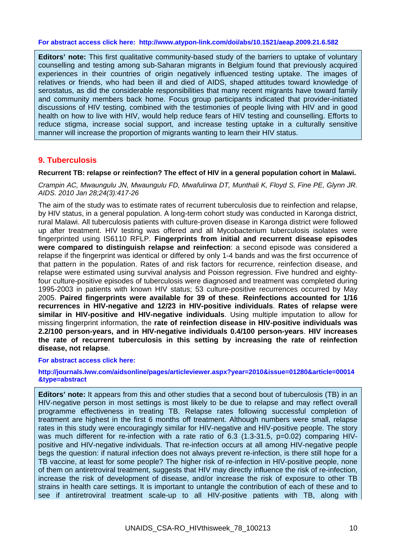#### **For abstract access click here: http://www.atypon-link.com/doi/abs/10.1521/aeap.2009.21.6.582**

**Editors' note:** This first qualitative community-based study of the barriers to uptake of voluntary counselling and testing among sub-Saharan migrants in Belgium found that previously acquired experiences in their countries of origin negatively influenced testing uptake. The images of relatives or friends, who had been ill and died of AIDS, shaped attitudes toward knowledge of serostatus, as did the considerable responsibilities that many recent migrants have toward family and community members back home. Focus group participants indicated that provider-initiated discussions of HIV testing, combined with the testimonies of people living with HIV and in good health on how to live with HIV, would help reduce fears of HIV testing and counselling. Efforts to reduce stigma, increase social support, and increase testing uptake in a culturally sensitive manner will increase the proportion of migrants wanting to learn their HIV status.

# **9. Tuberculosis**

#### **Recurrent TB: relapse or reinfection? The effect of HIV in a general population cohort in Malawi.**

*Crampin AC, Mwaungulu JN, Mwaungulu FD, Mwafulirwa DT, Munthali K, Floyd S, Fine PE, Glynn JR. AIDS. 2010 Jan 28;24(3):417-26* 

The aim of the study was to estimate rates of recurrent tuberculosis due to reinfection and relapse, by HIV status, in a general population. A long-term cohort study was conducted in Karonga district, rural Malawi. All tuberculosis patients with culture-proven disease in Karonga district were followed up after treatment. HIV testing was offered and all Mycobacterium tuberculosis isolates were fingerprinted using IS6110 RFLP. **Fingerprints from initial and recurrent disease episodes were compared to distinguish relapse and reinfection**: a second episode was considered a relapse if the fingerprint was identical or differed by only 1-4 bands and was the first occurrence of that pattern in the population. Rates of and risk factors for recurrence, reinfection disease, and relapse were estimated using survival analysis and Poisson regression. Five hundred and eightyfour culture-positive episodes of tuberculosis were diagnosed and treatment was completed during 1995-2003 in patients with known HIV status; 53 culture-positive recurrences occurred by May 2005. **Paired fingerprints were available for 39 of these**. **Reinfections accounted for 1/16 recurrences in HIV-negative and 12/23 in HIV-positive individuals**. **Rates of relapse were similar in HIV-positive and HIV-negative individuals**. Using multiple imputation to allow for missing fingerprint information, the **rate of reinfection disease in HIV-positive individuals was 2.2/100 person-years, and in HIV-negative individuals 0.4/100 person-years**. **HIV increases the rate of recurrent tuberculosis in this setting by increasing the rate of reinfection disease, not relapse**.

#### **For abstract access click here:**

**http://journals.lww.com/aidsonline/pages/articleviewer.aspx?year=2010&issue=01280&article=00014 &type=abstract** 

**Editors' note:** It appears from this and other studies that a second bout of tuberculosis (TB) in an HIV-negative person in most settings is most likely to be due to relapse and may reflect overall programme effectiveness in treating TB. Relapse rates following successful completion of treatment are highest in the first 6 months off treatment. Although numbers were small, relapse rates in this study were encouragingly similar for HIV-negative and HIV-positive people. The story was much different for re-infection with a rate ratio of 6.3 (1.3-31.5, p=0.02) comparing HIVpositive and HIV-negative individuals. That re-infection occurs at all among HIV-negative people begs the question: if natural infection does not always prevent re-infection, is there still hope for a TB vaccine, at least for some people? The higher risk of re-infection in HIV-positive people, none of them on antiretroviral treatment, suggests that HIV may directly influence the risk of re-infection, increase the risk of development of disease, and/or increase the risk of exposure to other TB strains in health care settings. It is important to untangle the contribution of each of these and to see if antiretroviral treatment scale-up to all HIV-positive patients with TB, along with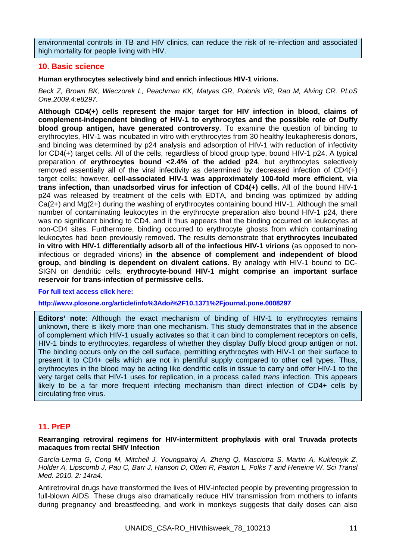environmental controls in TB and HIV clinics, can reduce the risk of re-infection and associated high mortality for people living with HIV.

# **10. Basic science**

**Human erythrocytes selectively bind and enrich infectious HIV-1 virions.** 

*Beck Z, Brown BK, Wieczorek L, Peachman KK, Matyas GR, Polonis VR, Rao M, Alving CR. PLoS One.2009.4:e8297.* 

**Although CD4(+) cells represent the major target for HIV infection in blood, claims of complement-independent binding of HIV-1 to erythrocytes and the possible role of Duffy blood group antigen, have generated controversy**. To examine the question of binding to erythrocytes, HIV-1 was incubated in vitro with erythrocytes from 30 healthy leukapheresis donors, and binding was determined by p24 analysis and adsorption of HIV-1 with reduction of infectivity for CD4(+) target cells. All of the cells, regardless of blood group type, bound HIV-1 p24. A typical preparation of **erythrocytes bound <2.4% of the added p24**, but erythrocytes selectively removed essentially all of the viral infectivity as determined by decreased infection of CD4(+) target cells; however, **cell-associated HIV-1 was approximately 100-fold more efficient, via trans infection, than unadsorbed virus for infection of CD4(+) cells.** All of the bound HIV-1 p24 was released by treatment of the cells with EDTA, and binding was optimized by adding Ca(2+) and Mg(2+) during the washing of erythrocytes containing bound HIV-1. Although the small number of contaminating leukocytes in the erythrocyte preparation also bound HIV-1 p24, there was no significant binding to CD4, and it thus appears that the binding occurred on leukocytes at non-CD4 sites. Furthermore, binding occurred to erythrocyte ghosts from which contaminating leukocytes had been previously removed. The results demonstrate that **erythrocytes incubated in vitro with HIV-1 differentially adsorb all of the infectious HIV-1 virions** (as opposed to noninfectious or degraded virions) **in the absence of complement and independent of blood group,** and **binding is dependent on divalent cations**. By analogy with HIV-1 bound to DC-SIGN on dendritic cells, **erythrocyte-bound HIV-1 might comprise an important surface reservoir for trans-infection of permissive cells**.

#### **For full text access click here:**

**http://www.plosone.org/article/info%3Adoi%2F10.1371%2Fjournal.pone.0008297** 

**Editors' note**: Although the exact mechanism of binding of HIV-1 to erythrocytes remains unknown, there is likely more than one mechanism. This study demonstrates that in the absence of complement which HIV-1 usually activates so that it can bind to complement receptors on cells, HIV-1 binds to erythrocytes, regardless of whether they display Duffy blood group antigen or not. The binding occurs only on the cell surface, permitting erythrocytes with HIV-1 on their surface to present it to CD4+ cells which are not in plentiful supply compared to other cell types. Thus, erythrocytes in the blood may be acting like dendritic cells in tissue to carry and offer HIV-1 to the very target cells that HIV-1 uses for replication, in a process called *trans* infection. This appears likely to be a far more frequent infecting mechanism than direct infection of CD4+ cells by circulating free virus.

# **11. PrEP**

#### **Rearranging retroviral regimens for HIV-intermittent prophylaxis with oral Truvada protects macaques from rectal SHIV Infection**

*García-Lerma G, Cong M, Mitchell J, Youngpairoj A, Zheng Q, Masciotra S, Martin A, Kuklenyik Z, Holder A, Lipscomb J, Pau C, Barr J, Hanson D, Otten R, Paxton L, Folks T and Heneine W. Sci Transl Med. 2010. 2: 14ra4.* 

Antiretroviral drugs have transformed the lives of HIV-infected people by preventing progression to full-blown AIDS. These drugs also dramatically reduce HIV transmission from mothers to infants during pregnancy and breastfeeding, and work in monkeys suggests that daily doses can also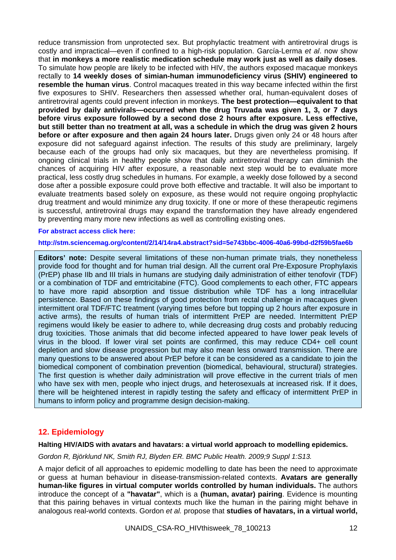reduce transmission from unprotected sex. But prophylactic treatment with antiretroviral drugs is costly and impractical—even if confined to a high-risk population. García-Lerma *et al*. now show that **in monkeys a more realistic medication schedule may work just as well as daily doses**. To simulate how people are likely to be infected with HIV, the authors exposed macaque monkeys rectally to **14 weekly doses of simian-human immunodeficiency virus (SHIV) engineered to resemble the human virus**. Control macaques treated in this way became infected within the first five exposures to SHIV. Researchers then assessed whether oral, human-equivalent doses of antiretroviral agents could prevent infection in monkeys. **The best protection—equivalent to that provided by daily antivirals—occurred when the drug Truvada was given 1, 3, or 7 days before virus exposure followed by a second dose 2 hours after exposure. Less effective, but still better than no treatment at all, was a schedule in which the drug was given 2 hours before or after exposure and then again 24 hours later.** Drugs given only 24 or 48 hours after exposure did not safeguard against infection. The results of this study are preliminary, largely because each of the groups had only six macaques, but they are nevertheless promising. If ongoing clinical trials in healthy people show that daily antiretroviral therapy can diminish the chances of acquiring HIV after exposure, a reasonable next step would be to evaluate more practical, less costly drug schedules in humans. For example, a weekly dose followed by a second dose after a possible exposure could prove both effective and tractable. It will also be important to evaluate treatments based solely on exposure, as these would not require ongoing prophylactic drug treatment and would minimize any drug toxicity. If one or more of these therapeutic regimens is successful, antiretroviral drugs may expand the transformation they have already engendered by preventing many more new infections as well as controlling existing ones.

#### **For abstract access click here:**

**http://stm.sciencemag.org/content/2/14/14ra4.abstract?sid=5e743bbc-4006-40a6-99bd-d2f59b5fae6b** 

**Editors' note:** Despite several limitations of these non-human primate trials, they nonetheless provide food for thought and for human trial design. All the current oral Pre-Exposure Prophylaxis (PrEP) phase IIb and III trials in humans are studying daily administration of either tenofovir (TDF) or a combination of TDF and emtricitabine (FTC). Good complements to each other, FTC appears to have more rapid absorption and tissue distribution while TDF has a long intracellular persistence. Based on these findings of good protection from rectal challenge in macaques given intermittent oral TDF/FTC treatment (varying times before but topping up 2 hours after exposure in active arms), the results of human trials of intermittent PrEP are needed. Intermittent PrEP regimens would likely be easier to adhere to, while decreasing drug costs and probably reducing drug toxicities. Those animals that did become infected appeared to have lower peak levels of virus in the blood. If lower viral set points are confirmed, this may reduce CD4+ cell count depletion and slow disease progression but may also mean less onward transmission. There are many questions to be answered about PrEP before it can be considered as a candidate to join the biomedical component of combination prevention (biomedical, behavioural, structural) strategies. The first question is whether daily administration will prove effective in the current trials of men who have sex with men, people who inject drugs, and heterosexuals at increased risk. If it does, there will be heightened interest in rapidly testing the safety and efficacy of intermittent PrEP in humans to inform policy and programme design decision-making.

# **12. Epidemiology**

#### **Halting HIV/AIDS with avatars and havatars: a virtual world approach to modelling epidemics.**

*Gordon R, Björklund NK, Smith RJ, Blyden ER. BMC Public Health. 2009;9 Suppl 1:S13.* 

A major deficit of all approaches to epidemic modelling to date has been the need to approximate or guess at human behaviour in disease-transmission-related contexts. **Avatars are generally human-like figures in virtual computer worlds controlled by human individuals.** The authors introduce the concept of a **"havatar"**, which is a **(human, avatar) pairing**. Evidence is mounting that this pairing behaves in virtual contexts much like the human in the pairing might behave in analogous real-world contexts. Gordon *et al.* propose that **studies of havatars, in a virtual world,**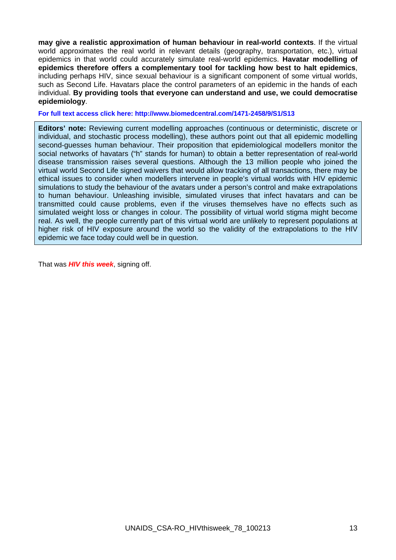**may give a realistic approximation of human behaviour in real-world contexts**. If the virtual world approximates the real world in relevant details (geography, transportation, etc.), virtual epidemics in that world could accurately simulate real-world epidemics. **Havatar modelling of epidemics therefore offers a complementary tool for tackling how best to halt epidemics**, including perhaps HIV, since sexual behaviour is a significant component of some virtual worlds, such as Second Life. Havatars place the control parameters of an epidemic in the hands of each individual. **By providing tools that everyone can understand and use, we could democratise epidemiology**.

**For full text access click here: http://www.biomedcentral.com/1471-2458/9/S1/S13** 

**Editors' note:** Reviewing current modelling approaches (continuous or deterministic, discrete or individual, and stochastic process modelling), these authors point out that all epidemic modelling second-guesses human behaviour. Their proposition that epidemiological modellers monitor the social networks of havatars ("h" stands for human) to obtain a better representation of real-world disease transmission raises several questions. Although the 13 million people who joined the virtual world Second Life signed waivers that would allow tracking of all transactions, there may be ethical issues to consider when modellers intervene in people's virtual worlds with HIV epidemic simulations to study the behaviour of the avatars under a person's control and make extrapolations to human behaviour. Unleashing invisible, simulated viruses that infect havatars and can be transmitted could cause problems, even if the viruses themselves have no effects such as simulated weight loss or changes in colour. The possibility of virtual world stigma might become real. As well, the people currently part of this virtual world are unlikely to represent populations at higher risk of HIV exposure around the world so the validity of the extrapolations to the HIV epidemic we face today could well be in question.

That was *HIV this week*, signing off.